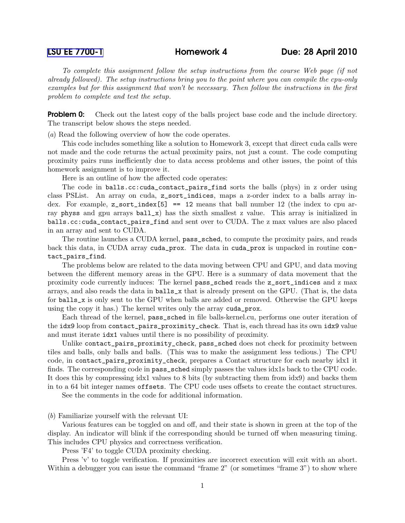[LSU EE 7700-1](http://www.ece.lsu.edu/gp/) Homework 4 Due: 28 April 2010

To complete this assignment follow the setup instructions from the course Web page (if not already followed). The setup instructions bring you to the point where you can compile the cpu-only examples but for this assignment that won't be necessary. Then follow the instructions in the first problem to complete and test the setup.

**Problem 0:** Check out the latest copy of the balls project base code and the include directory. The transcript below shows the steps needed.

(a) Read the following overview of how the code operates.

This code includes something like a solution to Homework 3, except that direct cuda calls were not made and the code returns the actual proximity pairs, not just a count. The code computing proximity pairs runs inefficiently due to data access problems and other issues, the point of this homework assignment is to improve it.

Here is an outline of how the affected code operates:

The code in balls.cc:cuda\_contact\_pairs\_find sorts the balls (phys) in z order using class PSList. An array on cuda, z\_sort\_indices, maps a z-order index to a balls array index. For example,  $z$  sort\_index [5] == 12 means that ball number 12 (the index to cpu array physs and gpu arrays  $ball_x$ ) has the sixth smallest z value. This array is initialized in balls.cc:cuda\_contact\_pairs\_find and sent over to CUDA. The z max values are also placed in an array and sent to CUDA.

The routine launches a CUDA kernel, pass\_sched, to compute the proximity pairs, and reads back this data, in CUDA array cuda\_prox. The data in cuda\_prox is unpacked in routine contact\_pairs\_find.

The problems below are related to the data moving between CPU and GPU, and data moving between the different memory areas in the GPU. Here is a summary of data movement that the proximity code currently induces: The kernel pass\_sched reads the z\_sort\_indices and z max arrays, and also reads the data in balls\_x that is already present on the GPU. (That is, the data for balls\_x is only sent to the GPU when balls are added or removed. Otherwise the GPU keeps using the copy it has.) The kernel writes only the array cuda\_prox.

Each thread of the kernel, pass\_sched in file balls-kernel.cu, performs one outer iteration of the idx9 loop from contact\_pairs\_proximity\_check. That is, each thread has its own idx9 value and must iterate idx1 values until there is no possibility of proximity.

Unlike contact\_pairs\_proximity\_check, pass\_sched does not check for proximity between tiles and balls, only balls and balls. (This was to make the assignment less tedious.) The CPU code, in contact\_pairs\_proximity\_check, prepares a Contact structure for each nearby idx1 it finds. The corresponding code in pass\_sched simply passes the values idx1s back to the CPU code. It does this by compressing idx1 values to 8 bits (by subtracting them from idx9) and backs them in to a 64 bit integer names offsets. The CPU code uses offsets to create the contact structures.

See the comments in the code for additional information.

(b) Familiarize yourself with the relevant UI:

Various features can be toggled on and off, and their state is shown in green at the top of the display. An indicator will blink if the corresponding should be turned off when measuring timing. This includes CPU physics and correctness verification.

Press 'F4' to toggle CUDA proximity checking.

Press 'v' to toggle verification. If proximities are incorrect execution will exit with an abort. Within a debugger you can issue the command "frame 2" (or sometimes "frame 3") to show where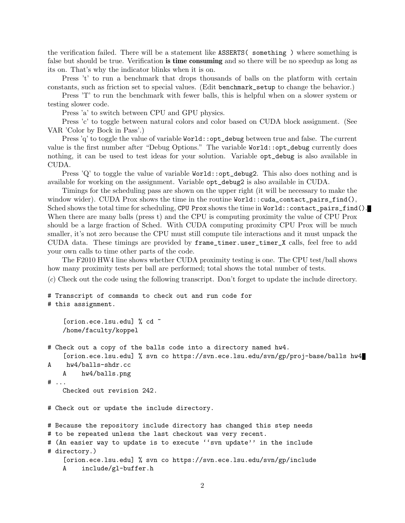the verification failed. There will be a statement like ASSERTS( something ) where something is false but should be true. Verification is time consuming and so there will be no speedup as long as its on. That's why the indicator blinks when it is on.

Press 't' to run a benchmark that drops thousands of balls on the platform with certain constants, such as friction set to special values. (Edit benchmark\_setup to change the behavior.)

Press 'T' to run the benchmark with fewer balls, this is helpful when on a slower system or testing slower code.

Press 'a' to switch between CPU and GPU physics.

Press 'c' to toggle between natural colors and color based on CUDA block assignment. (See VAR 'Color by Bock in Pass'.)

Press 'q' to toggle the value of variable World::opt\_debug between true and false. The current value is the first number after "Debug Options." The variable World::opt\_debug currently does nothing, it can be used to test ideas for your solution. Variable opt\_debug is also available in CUDA.

Press 'Q' to toggle the value of variable  $Word::opt_debug2$ . This also does nothing and is available for working on the assignment. Variable opt\_debug2 is also available in CUDA.

Timings for the scheduling pass are shown on the upper right (it will be necessary to make the window wider). CUDA Prox shows the time in the routine World::cuda\_contact\_pairs\_find(), Sched shows the total time for scheduling, CPU Prox shows the time in World::contact\_pairs\_find(). When there are many balls (press t) and the CPU is computing proximity the value of CPU Prox should be a large fraction of Sched. With CUDA computing proximity CPU Prox will be much smaller, it's not zero because the CPU must still compute tile interactions and it must unpack the CUDA data. These timings are provided by frame\_timer.user\_timer\_X calls, feel free to add your own calls to time other parts of the code.

The F2010 HW4 line shows whether CUDA proximity testing is one. The CPU test/ball shows how many proximity tests per ball are performed; total shows the total number of tests.

(c) Check out the code using the following transcript. Don't forget to update the include directory.

# Transcript of commands to check out and run code for # this assignment.

```
[orion.ece.lsu.edu] % cd ~
/home/faculty/koppel
```

```
# Check out a copy of the balls code into a directory named hw4.
```

```
[orion.ece.lsu.edu] % svn co https://svn.ece.lsu.edu/svn/gp/proj-base/balls hw4
A hw4/balls-shdr.cc
```

```
A hw4/balls.png
```

```
# ...
```
Checked out revision 242.

# Check out or update the include directory.

```
# Because the repository include directory has changed this step needs
# to be repeated unless the last checkout was very recent.
# (An easier way to update is to execute ''svn update'' in the include
# directory.)
    [orion.ece.lsu.edu] % svn co https://svn.ece.lsu.edu/svn/gp/include
    A include/gl-buffer.h
```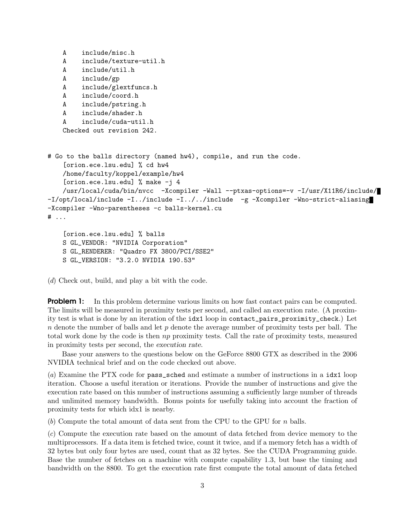```
A include/misc.h
   A include/texture-util.h
   A include/util.h
   A include/gp
   A include/glextfuncs.h
   A include/coord.h
   A include/pstring.h
   A include/shader.h
   A include/cuda-util.h
   Checked out revision 242.
# Go to the balls directory (named hw4), compile, and run the code.
    [orion.ece.lsu.edu] % cd hw4
   /home/faculty/koppel/example/hw4
    [orion.ece.lsu.edu] % make -j 4
   /usr/local/cuda/bin/nvcc -Xcompiler -Wall --ptxas-options=-v -I/usr/X11R6/include/
-I/opt/local/include -I../include -I../../include -g -Xcompiler -Wno-strict-aliasing
-Xcompiler -Wno-parentheses -c balls-kernel.cu
# ...
    [orion.ece.lsu.edu] % balls
```

```
S GL_VENDOR: "NVIDIA Corporation"
S GL_RENDERER: "Quadro FX 3800/PCI/SSE2"
```
S GL\_VERSION: "3.2.0 NVIDIA 190.53"

(d) Check out, build, and play a bit with the code.

**Problem 1:** In this problem determine various limits on how fast contact pairs can be computed. The limits will be measured in proximity tests per second, and called an execution rate. (A proximity test is what is done by an iteration of the idx1 loop in contact\_pairs\_proximity\_check.) Let  $n$  denote the number of balls and let  $p$  denote the average number of proximity tests per ball. The total work done by the code is then np proximity tests. Call the rate of proximity tests, measured in proximity tests per second, the execution rate.

Base your answers to the questions below on the GeForce 8800 GTX as described in the 2006 NVIDIA technical brief and on the code checked out above.

(a) Examine the PTX code for pass\_sched and estimate a number of instructions in a idx1 loop iteration. Choose a useful iteration or iterations. Provide the number of instructions and give the execution rate based on this number of instructions assuming a sufficiently large number of threads and unlimited memory bandwidth. Bonus points for usefully taking into account the fraction of proximity tests for which idx1 is nearby.

(b) Compute the total amount of data sent from the CPU to the GPU for n balls.

(c) Compute the execution rate based on the amount of data fetched from device memory to the multiprocessors. If a data item is fetched twice, count it twice, and if a memory fetch has a width of 32 bytes but only four bytes are used, count that as 32 bytes. See the CUDA Programming guide. Base the number of fetches on a machine with compute capability 1.3, but base the timing and bandwidth on the 8800. To get the execution rate first compute the total amount of data fetched